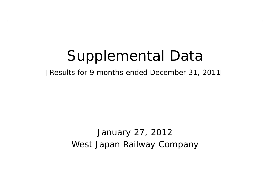# Supplemental Data

Results for 9 months ended December 31, 2011

West Japan Railway Company January 27, 2012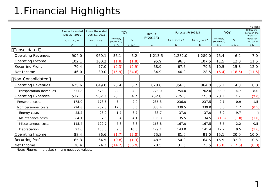## 1.Financial Highlights

|                                |                                |                                |                                    |                |                            |                             |                   |                                  |              | ¥ Billions                                    |
|--------------------------------|--------------------------------|--------------------------------|------------------------------------|----------------|----------------------------|-----------------------------|-------------------|----------------------------------|--------------|-----------------------------------------------|
|                                | 9 months ended<br>Dec 31, 2010 | 9 months ended<br>Dec 31, 2011 |                                    | <b>YOY</b>     | Result                     | Forecast FY2012/3           |                   |                                  | <b>YOY</b>   | <b>Difference</b><br>between the<br>forecasts |
|                                | 12/31<br>4/1<br>A              | $4/1$ 12/31<br>B               | Increase/<br>(Decrease)<br>$B - A$ | %<br>$1 - B/A$ | FY2011/3<br>$\overline{C}$ | As of Oct 27<br>$\mathbf D$ | As of Jan 27<br>E | Increase/<br>(Decrease)<br>$E-C$ | %<br>$1-E/C$ | Increase/<br>(Decrease)<br>$E-D$              |
| Consolidated                   |                                |                                |                                    |                |                            |                             |                   |                                  |              |                                               |
| <b>Operating Revenues</b>      | 904.0                          | 960.1                          | 56.1                               | 6.2            | 1,213.5                    | 1,282.0                     | 1,289.0           | 75.4                             | 6.2          | 7.0                                           |
| Operating Income               | 102.1                          | 100.2                          | (1.8)                              | (1.8)          | 95.9                       | 96.0                        | 107.5             | 11.5                             | 12.0         | 11.5                                          |
| Recurring Profit               | 79.4                           | 77.0                           | (2.3)                              | (2.9)          | 68.9                       | 67.5                        | 79.5              | 10.5                             | 15.3         | 12.0                                          |
| Net Income                     | 46.0                           | 30.0                           | (15.9)                             | (34.6)         | 34.9                       | 40.0                        | 28.5              | (6.4)                            | (18.5)       | (11.5)                                        |
| Non-Consolidated               |                                |                                |                                    |                |                            |                             |                   |                                  |              |                                               |
| <b>Operating Revenues</b>      | 625.6                          | 649.0                          | 23.4                               | 3.7            | 828.6                      | 856.0                       | 864.0             | 35.3                             | 4.3          | 8.0                                           |
| <b>Transportation Revenues</b> | 551.8                          | 573.9                          | 22.0                               | 4.0            | 728.0                      | 754.0                       | 762.0             | 33.9                             | 4.7          | 8.0                                           |
| <b>Operating Expenses</b>      | 537.1                          | 562.3                          | 25.1                               | 4.7            | 752.8                      | 775.0                       | 773.0             | 20.1                             | 2.7          | (2.0)                                         |
| Personnel costs                | 175.0                          | 178.5                          | 3.4                                | 2.0            | 235.3                      | 236.0                       | 237.5             | 2.1                              | 0.9          | 1.5                                           |
| Non personnel costs            | 224.8                          | 237.3                          | 12.5                               | 5.6            | 333.4                      | 339.5                       | 339.0             | 5.5                              | 1.7          | (0.5)                                         |
| Energy costs                   | 25.2                           | 26.9                           | 1.7                                | 6.7            | 33.7                       | 37.0                        | 37.0              | 3.2                              | 9.7          |                                               |
| Maintenance costs              | 84.1                           | 87.5                           | 3.4                                | 4.1            | 135.8                      | 135.5                       | 134.5             | (1.3)                            | (1.0)        | (1.0)                                         |
| Miscellaneous costs            | 115.4                          | 122.7                          | 7.3                                | 6.3            | 163.8                      | 167.0                       | 167.5             | 3.6                              | 2.2          | 0.5                                           |
| Depreciation                   | 93.6                           | 103.5                          | 9.8                                | 10.6           | 129.1                      | 143.0                       | 141.4             | 12.2                             | 9.5          | (1.6)                                         |
| Operating Income               | 88.4                           | 86.6                           | (1.7)                              | (2.0)          | 75.8                       | 81.0                        | 91.0              | 15.1                             | 20.0         | 10.0                                          |
| Recurring Profit               | 65.3                           | 64.5                           | (0.8)                              | (1.3)          | 48.5                       | 54.0                        | 64.5              | 15.9                             | 32.9         | 10.5                                          |
| Net Income                     | 38.4                           | 24.2                           | (14.2)                             | (36.9)         | 28.5                       | 31.5                        | 23.5              | (5.0)                            | (17.6)       | (8.0)                                         |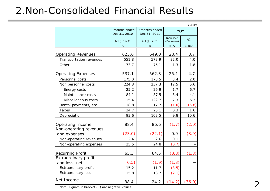### 2.Non-Consolidated Financial Results

|                                        |                                |                                |                         | $4$ Billions |
|----------------------------------------|--------------------------------|--------------------------------|-------------------------|--------------|
|                                        | 9 months ended<br>Dec 31, 2010 | 9 months ended<br>Dec 31, 2011 | <b>YOY</b>              |              |
|                                        | 4/1<br>12/31                   | 4/1<br>12/31                   | Increase/<br>(Decrease) | %            |
|                                        |                                | Β                              | $B-A$                   | $1 - B/A$    |
| <b>Operating Revenues</b>              | 625.6                          | 649.0                          | 23.4                    | 3.7          |
| Transportation revenues                | 551.8                          | 573.9                          | 22.0                    | 4.0          |
| Other                                  | 73.7                           | 75.1                           | 1.3                     | 1.8          |
| <b>Operating Expenses</b>              | 537.1                          | 562.3                          | 25.1                    | 4.7          |
| Personnel costs                        | 175.0                          | 178.5                          | 3.4                     | 2.0          |
| Non personnel costs                    | 224.8                          | 237.3                          | 12.5                    | 5.6          |
| Energy costs                           | 25.2                           | 26.9                           | 1.7                     | 6.7          |
| Maintenance costs                      | 84.1                           | 87.5                           | 3.4                     | 4.1          |
| Miscellaneous costs                    | 115.4                          | 122.7                          | 7.3                     | 6.3          |
| Rental payments, etc.                  | 18.8                           | 17.7                           | (1.0)                   | (5.8)        |
| <b>Taxes</b>                           | 24.7                           | 25.1                           | 0.3                     | 1.6          |
| Depreciation                           | 93.6                           | 103.5                          | 9.8                     | 10.6         |
| Operating Income                       | 88.4                           | 86.6                           | (1.7)                   | (2.0)        |
| Non-operating revenues<br>and expenses | (23.0)                         | (22.1)                         | 0.9                     | (3.9)        |
| Non-operating revenues                 | 2.4                            | 2.6                            | 0.1                     |              |
| Non-operating expenses                 | 25.5                           | 24.8                           | (0.7)                   |              |
| <b>Recurring Profit</b>                | 65.3                           | 64.5                           | (0.8)                   | (1.3)        |
| Extraordinary profit<br>and loss, net  | (0.5)                          | (1.9)                          | (1.3)                   |              |
| Extraordinary profit                   | 15.2                           | 11.7                           | (3.5)                   |              |
| <b>Extraordinary loss</b>              | 15.8                           | 13.7                           | (2.1)                   |              |
| Net Income                             | 38.4                           | 24.2                           | (14.2)                  | (36.9)       |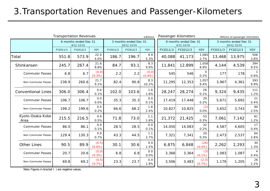#### 3.Transportation Revenues and Passenger-Kilometers

|                           | <b>Transportation Revenues</b> |                                    |                 |          |                                     | ¥ Billions     | Passenger-Kilometers |                                    |                      |          | Millions of passenger-kilometers    |                        |
|---------------------------|--------------------------------|------------------------------------|-----------------|----------|-------------------------------------|----------------|----------------------|------------------------------------|----------------------|----------|-------------------------------------|------------------------|
|                           |                                | 9 months ended Dec 31<br>4/1 12/31 |                 |          | 3 months ended Dec 31<br>10/1 12/31 |                |                      | 9 months ended Dec 31<br>4/1 12/31 |                      |          | 3 months ended Dec 31<br>10/1 12/31 |                        |
|                           | FY2011/3                       | FY2012/3                           | <b>YOY</b>      | FY2011/3 | FY2012/3                            | <b>YOY</b>     | FY2011/3             | FY2012/3                           | <b>YOY</b>           | FY2011/3 | FY2012/3                            | <b>YOY</b>             |
| Total                     | 551.8                          | 573.9                              | 22.0<br>4.0%    | 186.7    | 196.7                               | 9.9<br>5.3%    | 40,088               | 41,173                             | 1,085<br>2.7%        | 13,468   | 13,975                              | 506<br>3.8%            |
| Shinkansen                | 245.7                          | 267.4                              | 21.6<br>8.8%    | 84.7     | 93.1                                | 8.3<br>9.9%    | 11,841               | 12,899                             | 1,058<br>8.9%        | 4,144    | 4,539                               | 394<br>9.5%            |
| <b>Commuter Passes</b>    | 6.8                            | 6.7                                | (0.0)<br>(0.3%  | 2.2      | 2.2                                 | (0.0)<br>(0.4% | 545                  | 546                                | $\mathbf{O}$<br>0.2% | 177      | 178                                 | 0.6%                   |
| Non-Commuter Passes       | 238.9                          | 260.6                              | 21.7<br>9.1%    | 82.4     | 90.8                                | 8.3<br>10.2%   | 11,295               | 12,353                             | 1,057<br>9.4%        | 3,967    | 4,361                               | 393<br>9.9%            |
| <b>Conventional Lines</b> | 306.0                          | 306.4                              | 0.4<br>0.1%     | 102.0    | 103.6                               | 1.6<br>1.6%    | 28,247               | 28,274                             | 26<br>0.1%           | 9,324    | 9,435                               | 111<br>1.2%            |
| <b>Commuter Passes</b>    | 106.7                          | 106.7                              | 0.0<br>0.0%     | 35.3     | 35.3                                | 0.0<br>0.1%    | 17,419               | 17,448                             | 29<br>0.2%           | 5,671    | 5,692                               | 21<br>0.4%             |
| Non-Commuter Passes       | 199.2                          | 199.6                              | 0.4<br>0.2%     | 66.6     | 68.2                                | 1.6<br>2.4%    | 10,827               | 10,825                             | (2)<br>$0.0\%$       | 3,652    | 3,743                               | 90<br>2.5%             |
| Kyoto-Osaka-Kobe<br>Area  | 215.5                          | 216.5                              | 0.9<br>0.5%     | 71.8     | 73.0                                | 1.1<br>1.6%    | 21,372               | 21,425                             | 53<br>0.3%           | 7,061    | 7,142                               | 81<br>1.2%             |
| <b>Commuter Passes</b>    | 86.0                           | 86.1                               | 0.0<br>0.1%     | 28.5     | 28.5                                | 0.0<br>0.1%    | 14,050               | 14,083                             | 32<br>0.2%           | 4,587    | 4,605                               | 17<br>0.4%             |
| Non-Commuter Passes       | 129.4                          | 130.3                              | 0.9<br>0.7%     | 43.3     | 44.5                                | 1.1<br>2.7%    | 7,321                | 7,341                              | 20<br>0.3%           | 2,473    | 2,537                               | 64<br>2.6%             |
| <b>Other Lines</b>        | 90.5                           | 89.9                               | (0.5)<br>(0.6%) | 30.1     | 30.6                                | 0.4<br>1.5%    | 6,875                | 6,848                              | (26)<br>$(0.4\%)$    | 2,262    | 2,293                               | 30<br>1.3%             |
| <b>Commuter Passes</b>    | 20.7                           | 20.6                               | (0.0)<br>(0.3%) | 6.8      | 6.8                                 | 0.0<br>0.0%    | 3,368                | 3,364                              | (3)<br>$(0.1\%)$     | 1,083    | 1,087                               | $\overline{4}$<br>0.4% |
| Non-Commuter Passes       | 69.8                           | 69.2                               | (0.5)<br>(0.7%) | 23.3     | 23.7                                | 0.4<br>1.9%    | 3,506                | 3,483                              | (2.3)<br>(0.7%)      | 1,179    | 1,205                               | 26<br>2.2%             |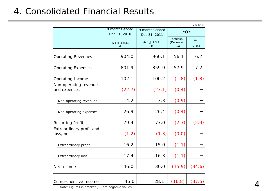#### 4. Consolidated Financial Results

|                                        |                                |                                |                                  | ¥ Billions      |
|----------------------------------------|--------------------------------|--------------------------------|----------------------------------|-----------------|
|                                        | 9 months ended<br>Dec 31, 2010 | 9 months ended<br>Dec 31, 2011 | <b>YOY</b>                       |                 |
|                                        | 4/1<br>12/31<br>A              | 4/1<br>12/31<br>B              | Increase/<br>(Decrease)<br>$B-A$ | %<br>$1-B/A$    |
| <b>Operating Revenues</b>              | 904.0                          | 960.1                          | 56.1                             | 6.2             |
| <b>Operating Expenses</b>              | 801.9                          | 859.9                          | 57.9                             | 7.2             |
| Operating Income                       | 102.1                          | 100.2                          | (1.8)                            | (1.8)           |
| Non-operating revenues<br>and expenses | (22.7)                         | (23.1)                         | (0.4)                            |                 |
| Non-operating revenues                 | 4.2                            | 3.3                            | (0.9)                            |                 |
| Non-operating expenses                 | 26.9                           | 26.4                           | (0.4)                            |                 |
| <b>Recurring Profit</b>                | 79.4                           | 77.0                           | (2.3)                            | (2.9)           |
| Extraordinary profit and<br>loss, net  | (1.2)                          | (1.3)                          | (0.0)                            |                 |
| Extraordinary profit                   | 16.2                           | 15.0                           | (1.1)                            |                 |
| Extraordinary loss                     | 17.4                           | 16.3                           | (1.1)                            |                 |
| Net Income                             | 46.0                           | 30.0                           | (15.9)                           | (34.6)          |
| Comprehensive Income                   | 45.0                           | 28.1                           |                                  | $(16.8)$ (37.5) |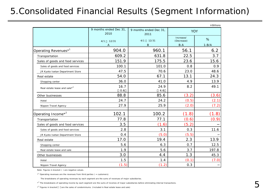#### 5.Consolidated Financial Results (Segment Information)

|                                  | 9 months ended Dec 31,<br>2010 | 9 months ended Dec 31,<br>2011 | <b>YOY</b>                         |                |
|----------------------------------|--------------------------------|--------------------------------|------------------------------------|----------------|
|                                  | 4/1<br>12/31<br>Α              | 12/31<br>4/1<br>B              | Increase/<br>(Decrease)<br>$B - A$ | %<br>$1 - B/A$ |
| Operating Revenues <sup>*1</sup> | 904.0                          | 960.1                          | 56.1                               | 6.2            |
| Transportation                   | 609.2                          | 631.8                          | 22.5                               | 3.7            |
| Sales of goods and food services | 151.9                          | 175.5                          | 23.6                               | 15.6           |
| Sales of goods and food services | 100.1                          | 101.0                          | 0.8                                | 0.9            |
| JR Kyoto Isetan Department Store | 47.5                           | 70.6                           | 23.0                               | 48.6           |
| Real estate                      | 54.0                           | 67.1                           | 13.1                               | 24.3           |
| Shopping center                  | 36.0                           | 41.0                           | 4.9                                | 13.9           |
| Real estate lease and sale*3     | 16.7<br>0.6                    | 24.9<br>4.6                    | 8.2                                | 49.1           |
| Other businesses                 | 88.8                           | 85.6                           | (3.2)                              | (3.6)          |
| Hotel                            | 24.7                           | 24.2                           | (0.5)                              | (2.1)          |
| Nippon Travel Agency             | 27.9                           | 25.9                           | (2.0)                              | (7.2)          |
| Operating Income <sup>*2</sup>   | 102.1                          | 100.2                          | (1.8)                              | (1.8)          |
| Transportation                   | 77.8                           | 77.1                           | (0.6)                              | (0.9)          |
| Sales of goods and food services | 3.5                            | (1.6)                          | (5.2)                              |                |
| Sales of goods and food services | 2.8                            | 3.1                            | 0.3                                | 11.6           |
| JR Kyoto Isetan Department Store | 0.4                            | (5.0)                          | (5.5)                              |                |
| Real estate                      | 17.0                           | 19.4                           | 2.3                                | 13.9           |
| Shopping center                  | 5.6                            | 6.3                            | 0.7                                | 12.5           |
| Real estate lease and sale       | 1.9                            | 5.6                            | 3.7                                | 197.8          |
| Other businesses                 | 3.0                            | 4.4                            | 1.3                                | 45.3           |
| Hotel                            | 1.5                            | 1.4                            | (0.1)                              | (7.0)          |
| Nippon Travel Agency             | (1.5)                          | (1.2)                          | 0.3                                |                |

Note: Figures in bracket ( ) are negative values.

 $*$ <sup>1</sup> Operating revenues are the revenues from third parties ( = customers).

The breakdowns of operating revenues by each segment are the sums of revenues of major subsidiaries.

\*<sup>2</sup> The breakdowns of operating income by each segment are the sums of incomes of major subsidiaries before eliminating internal transactions.

\*<sup>3</sup> Figures in bracket are the sales of condominiums. (Included in Real estate lease and sale)

¥Billions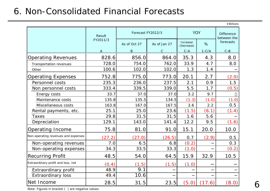#### 6. Non-Consolidated Financial Forecasts

|                                     |          |                   |              |                         |         | ¥ Billions                       |  |
|-------------------------------------|----------|-------------------|--------------|-------------------------|---------|----------------------------------|--|
|                                     | Result   | Forecast FY2012/3 |              | <b>YOY</b>              |         | <b>Difference</b><br>between the |  |
|                                     | FY2011/3 | As of Oct 27      | As of Jan 27 | Increase/<br>(Decrease) | %       | forecasts                        |  |
|                                     | A        | B                 | $\mathsf{C}$ | $C - A$                 | $1-C/A$ | $C - B$                          |  |
| <b>Operating Revenues</b>           | 828.6    | 856.0             | 864.0        | 35.3                    | 4.3     | 8.0                              |  |
| Transportation revenues             | 728.0    | 754.0             | 762.0        | 33.9                    | 4.7     | 8.0                              |  |
| Other                               | 100.6    | 102.0             | 102.0        | 1.3                     | 1.4     |                                  |  |
| <b>Operating Expenses</b>           | 752.8    | 775.0             | 773.0        | 20.1                    | 2.7     | (2.0)                            |  |
| Personnel costs                     | 235.3    | 236.0             | 237.5        | 2.1                     | 0.9     | 1.5                              |  |
| Non personnel costs                 | 333.4    | 339.5             | 339.0        | 5.5                     | 1.7     | (0.5)                            |  |
| Energy costs                        | 33.7     | 37.0              | 37.0         | 3.2                     | 9.7     |                                  |  |
| Maintenance costs                   | 135.8    | 135.5             | 134.5        | (1.3)                   | (1.0)   | (1.0)                            |  |
| Miscellaneous costs                 | 163.8    | 167.0             | 167.5        | 3.6                     | 2.2     | 0.5                              |  |
| Rental payments, etc.               | 25.1     | 25.0              | 23.6         | (1.5)                   | (6.1)   | (1.4)                            |  |
| Taxes                               | 29.8     | 31.5              | 31.5         | 1.6                     | 5.6     |                                  |  |
| Depreciation                        | 129.1    | 143.0             | 141.4        | 12.2                    | 9.5     | (1.6)                            |  |
| Operating Income                    | 75.8     | 81.0              | 91.0         | 15.1                    | 20.0    | 10.0                             |  |
| Non-operating revenues and expenses | (27.2)   | (27.0)            | (26.5)       | 0.7                     | (2.9)   | 0.5                              |  |
| Non-operating revenues              | 7.0      | 6.5               | 6.8          | (0.2)                   |         | 0.3                              |  |
| Non-operating expenses              | 34.3     | 33.5              | 33.3         | (1.0)                   |         | (0.2)                            |  |
| Recurring Profit                    | 48.5     | 54.0              | 64.5         | 15.9                    | 32.9    | 10.5                             |  |
| Extraordinary profit and loss, net  | (0.4)    | (1.5)             | (1.5)        | (1.0)                   |         |                                  |  |
| Extraordinary profit                | 48.9     | 9.1               |              |                         |         |                                  |  |
| <b>Extraordinary loss</b>           | 49.4     | 10.6              |              |                         |         |                                  |  |
| Net Income                          | 28.5     | 31.5              | 23.5         | (5.0)                   | (17.6)  | (8.0)                            |  |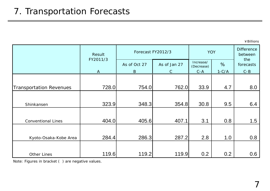¥Billions

|                                | Result       |                              | Forecast FY2012/3 | <b>YOY</b>              | <b>Difference</b><br>between |                  |
|--------------------------------|--------------|------------------------------|-------------------|-------------------------|------------------------------|------------------|
|                                | FY2011/3     | As of Oct 27<br>As of Jan 27 |                   | Increase/<br>(Decrease) | %                            | the<br>forecasts |
|                                | $\mathbf{A}$ | $\mathbf{B}$                 | $\mathcal{C}$     | $C - A$                 | $1-C/A$                      | $C - B$          |
| <b>Transportation Revenues</b> | 728.0        | 754.0                        | 762.0             | 33.9                    | 4.7                          | 8.0              |
|                                |              |                              |                   |                         |                              |                  |
| Shinkansen                     | 323.9        | 348.3                        | 354.8             | 30.8                    | 9.5                          | 6.4              |
| <b>Conventional Lines</b>      | 404.0        | 405.6                        | 407.1             | 3.1                     | 0.8                          | 1.5              |
|                                |              |                              |                   |                         |                              |                  |
| Kyoto-Osaka-Kobe Area          | 284.4        | 286.3                        | 287.2             | 2.8                     | 1.0                          | 0.8              |
|                                |              |                              |                   |                         |                              |                  |
| Other Lines                    | 119.6        | 119.2                        | 119.9             | 0.2                     | 0.2                          | 0.6              |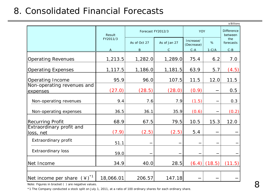#### 8. Consolidated Financial Forecasts

|                                                 |           |                   |              |                         |         | ¥Billions                    |
|-------------------------------------------------|-----------|-------------------|--------------|-------------------------|---------|------------------------------|
|                                                 | Result    | Forecast FY2012/3 |              | <b>YOY</b>              |         | <b>Difference</b><br>between |
|                                                 | FY2011/3  | As of Oct 27      | As of Jan 27 | Increase/<br>(Decrease) | %       | the<br>forecasts             |
|                                                 | A         | B                 | $\mathsf{C}$ | $C - A$                 | $1-C/A$ | $C - B$                      |
| <b>Operating Revenues</b>                       | 1,213.5   | 1,282.0           | 1,289.0      | 75.4                    | 6.2     | 7.0                          |
| <b>Operating Expenses</b>                       | 1, 117.5  | 1,186.0           | 1,181.5      | 63.9                    | 5.7     | (4.5)                        |
| Operating Income                                | 95.9      | 96.0              | 107.5        | 11.5                    | 12.0    | 11.5                         |
| Non-operating revenues and<br>expenses          | (27.0)    | (28.5)            | (28.0)       | (0.9)                   |         | 0.5                          |
| Non-operating revenues                          | 9.4       | 7.6               | 7.9          | (1.5)                   |         | 0.3                          |
| Non-operating expenses                          | 36.5      | 36.1              | 35.9         | (0.6)                   |         | (0.2)                        |
| <b>Recurring Profit</b>                         | 68.9      | 67.5              | 79.5         | 10.5                    | 15.3    | 12.0                         |
| Extraordinary profit and<br>loss, net           | (7.9)     | (2.5)             | (2.5)        | 5.4                     |         |                              |
| Extraordinary profit                            | 51.1      |                   |              |                         |         |                              |
| <b>Extraordinary loss</b>                       | 59.0      |                   |              |                         |         |                              |
| Net Income                                      | 34.9      | 40.0              | 28.5         | (6.4)                   | (18.5)  | (11.5)                       |
|                                                 |           |                   |              |                         |         |                              |
| $(\yen)^*$ <sup>1</sup><br>Net income per share | 18,066.01 | 206.57            | 147.18       |                         |         |                              |

Note: Figures in bracket ( ) are negative values.

\*1 The Company conducted a stock split on July 1, 2011, at a ratio of 100 ordinary shares for each ordinary share.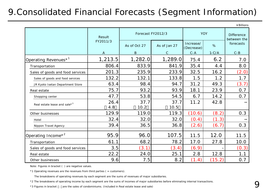#### 9.Consolidated Financial Forecasts (Segment Information)

|                                          |          |                   |               |                         |            | ¥Billions                        |  |
|------------------------------------------|----------|-------------------|---------------|-------------------------|------------|----------------------------------|--|
|                                          | Result   | Forecast FY2012/3 |               |                         | <b>YOY</b> | <b>Difference</b><br>between the |  |
|                                          | FY2011/3 | As of Oct 27      | As of Jan 27  | Increase/<br>(Decrease) | $\%$       | forecasts                        |  |
|                                          | A        | $\mathbf B$       | $\mathcal{C}$ | $C - A$                 | $1-C/A$    | $C - B$                          |  |
| Operating Revenues <sup>*1</sup>         | 1,213.5  | 1,282.0           | 1,289.0       | 75.4                    | 6.2        | 7.0                              |  |
| Transportation                           | 806.4    | 833.9             | 841.9         | 35.4                    | 4.4        | 8.0                              |  |
| Sales of goods and food services         | 201.3    | 235.9             | 233.9         | 32.5                    | 16.2       | (2.0)                            |  |
| Sales of goods and food services         | 132.2    | 132.1             | 133.8         | 1.5                     | 1.2        | 1.7                              |  |
| JR Kyoto Isetan Department Store         | 63.4     | 98.4              | 94.7          | 31.2                    | 49.3       | (3.7)                            |  |
| Real estate                              | 75.7     | 93.2              | 93.9          | 18.1                    | 23.9       | 0.7                              |  |
| Shopping center                          | 47.7     | 53.8              | 54.5          | 6.7                     | 14.2       | 0.7                              |  |
| Real estate lease and sale* <sup>3</sup> | 26.4     | 37.7              | 37.7          | 11.2                    | 42.8       |                                  |  |
|                                          | 4.8      | 10.2              | 10.5          |                         |            |                                  |  |
| Other businesses                         | 129.9    | 119.0             | 119.3         | (10.6)                  | (8.2)      | 0.3                              |  |
| Hotel                                    | 32.4     | 32.0              | 32.0          | (0.4)                   | (1.3)      |                                  |  |
| Nippon Travel Agency                     | 39.4     | 36.5              | 36.8          | (2.6)                   | (6.7)      | 0.3                              |  |
| Operating Income* <sup>2</sup>           | 95.9     | 96.0              | 107.5         | 11.5                    | 12.0       | 11.5                             |  |
| Transportation                           | 61.1     | 68.2              | 78.2          | 17.0                    | 27.8       | 10.0                             |  |
| Sales of goods and food services         | 3.5      | (3.1)             | (3.4)         | (6.9)                   |            | (0.3)                            |  |
| Real estate                              | 22.2     | 24.0              | 25.1          | 2.8                     | 12.8       | 1.1                              |  |
| Other businesses                         | 9.6      | 7.5               | 8.2           | (1.4)                   | (15.2)     | 0.7                              |  |

Note: Figures in bracket ( ) are negative values.

 $*1$  Operating revenues are the revenues from third parties ( = customers).

The breakdowns of operating revenues by each segment are the sums of revenues of major subsidiaries.

\*2 The breakdowns of operating income by each segment are the sums of incomes of major subsidiaries before eliminating internal transactions.

\*3 Figures in bracket are the sales of condominiums. (Included in Real estate lease and sale)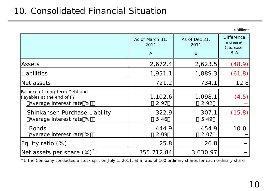#### 10. Consolidated Financial Situation

|                                                                                       | As of March 31,<br>2011<br>$\mathsf{A}$ | As of Dec 31,<br>2011<br>B | <b>Difference</b><br>increase/<br>(decrease)<br>$B-A$ |
|---------------------------------------------------------------------------------------|-----------------------------------------|----------------------------|-------------------------------------------------------|
| Assets                                                                                | 2,672.4                                 | 2,623.5                    | (48.9)                                                |
| <b>Liabilities</b>                                                                    | 1,951.1                                 | 1,889.3                    | (61.8)                                                |
| Net assets                                                                            | 721.2                                   | 734.1                      | 12.8                                                  |
| Balance of Long-term Debt and<br>Payables at the end of FY<br>Average interest rate % | 1,102.6<br>2.97                         | 1,098.1<br>2.92            | (4.5)                                                 |
| Shinkansen Purchase Liability<br>Average interest rate %                              | 322.9<br>5.46                           | 307.1<br>5.49              | (15.8)                                                |
| <b>Bonds</b><br>Average interest rate %                                               | 444.9<br>2.09                           | 454.9<br>2.07              | 10.0                                                  |
| Equity ratio (%)                                                                      | 25.8                                    | 26.8                       |                                                       |
| Net assets per share $(4)^*$ <sup>1</sup>                                             | 355,712.84                              | 3,630.97                   |                                                       |

\*1 The Company conducted a stock split on July 1, 2011, at a ratio of 100 ordinary shares for each ordinary share.

¥Billions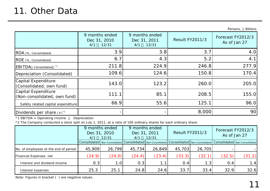|                                                     |                                                |                                                |                        | <b>Billions</b><br>Persons,       |
|-----------------------------------------------------|------------------------------------------------|------------------------------------------------|------------------------|-----------------------------------|
|                                                     | 9 months ended<br>Dec 31, 2010<br>12/31<br>4/1 | 9 months ended<br>Dec 31, 2011<br>12/31<br>4/1 | <b>Result FY2011/3</b> | Forecast FY2012/3<br>As of Jan 27 |
| ROA (%, Consolidated)                               | 3.9                                            | 3.8                                            | 3.7                    | 4.0                               |
| ROE (%, Consolidated)                               | 6.7                                            | 4.3                                            | 5.2                    | 4.1                               |
| <b>EBITDA</b> Consolidated *1                       | 211.8                                          | 224.9                                          | 246.8                  | 277.9                             |
| Depreciation (Consolidated)                         | 109.6                                          | 124.6                                          | 150.8                  | 170.4                             |
| Capital Expenditure<br>(Consolidated, own fund)     | 143.0                                          | 123.2                                          | 260.0                  | 205.0                             |
| Capital Expenditure<br>(Non-consolidated, own fund) | 111.1                                          | 85.1                                           | 208.5                  | 155.0                             |
| Safety related capital expenditure                  | 66.9                                           | 55.6                                           | 125.1                  | 96.0                              |
| Dividends per share $(*)$ <sup>2</sup>              |                                                |                                                | 8,000                  | 90                                |

\*1 EBITDA = Operating Income Depreciation

\*2 The Company conducted a stock split on July 1, 2011, at a ratio of 100 ordinary shares for each ordinary share.

|                                       | 9 months ended<br>Dec 31, 2010<br>12/31<br>4/1 |                  | 9 months ended<br>Dec 31, 2011<br>12/31<br>4/1 |        | <b>Result FY2011/3</b> |                                                                                                                                                                                                                                | Forecast FY2012/3<br>As of Jan 27 |        |
|---------------------------------------|------------------------------------------------|------------------|------------------------------------------------|--------|------------------------|--------------------------------------------------------------------------------------------------------------------------------------------------------------------------------------------------------------------------------|-----------------------------------|--------|
|                                       |                                                |                  |                                                |        |                        | Consolidated   Non-Consolidated   Consolidated   Non-Consolidated   Consolidated   Non-Consolidated   Consolidated   Non-Consolidated   Non-Consolidated   Non-Consolidated   Non-Consolidated   Non-Consolidated   Non-Consol |                                   |        |
| No. of employees at the end of period | 45,909                                         | 26,799           | 45,734                                         | 26,849 | 45,703                 | 26,705                                                                                                                                                                                                                         |                                   |        |
| Financial Expenses, net               | (24.9)                                         | (24.0)           | (24.4)                                         | (23.4) | (33.3)                 | (32.1)                                                                                                                                                                                                                         | (32.5)                            | (31.2) |
| Interest and dividend income          | 0.3                                            | 1.0 <sub>l</sub> | 0.3                                            | 1.1    | 0.4                    | 1.3                                                                                                                                                                                                                            | 0.4                               | 1.4    |
| Interest expenses                     | 25.3                                           | 25.1             | 24.8                                           | 24.6   | 33.7                   | 33.4                                                                                                                                                                                                                           | 32.9                              | 32.6   |